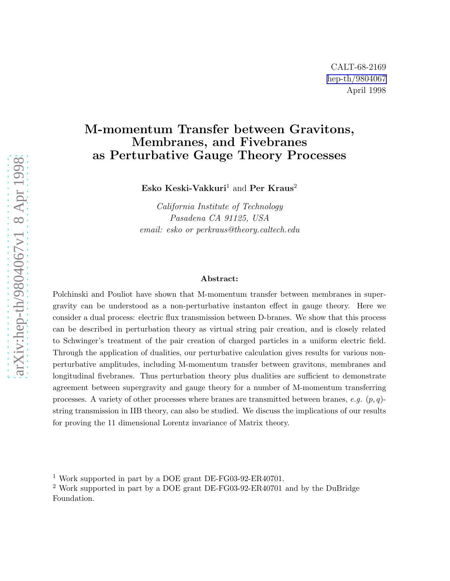# M-momentum Transfer between Gravitons, Membranes, and Fivebranes as Perturbative Gauge Theory Processes

Esko Keski-Vakkuri<sup>1</sup> and Per Kraus<sup>2</sup>

California Institute of Technology Pasadena CA 91125, USA email: esko or perkraus@theory.caltech.edu

#### Abstract:

Polchinski and Pouliot have shown that M-momentum transfer between membranes in supergravity can be understood as a non-perturbative instanton effect in gauge theory. Here we consider a dual process: electric flux transmission between D-branes. We show that this process can be described in perturbation theory as virtual string pair creation, and is closely related to Schwinger's treatment of the pair creation of charged particles in a uniform electric field. Through the application of dualities, our perturbative calculation gives results for various nonperturbative amplitudes, including M-momentum transfer between gravitons, membranes and longitudinal fivebranes. Thus perturbation theory plus dualities are sufficient to demonstrate agreement between supergravity and gauge theory for a number of M-momentum transferring processes. A variety of other processes where branes are transmitted between branes, e.g.  $(p, q)$ string transmission in IIB theory, can also be studied. We discuss the implications of our results for proving the 11 dimensional Lorentz invariance of Matrix theory.

<sup>1</sup> Work supported in part by a DOE grant DE-FG03-92-ER40701.

<sup>2</sup> Work supported in part by a DOE grant DE-FG03-92-ER40701 and by the DuBridge Foundation.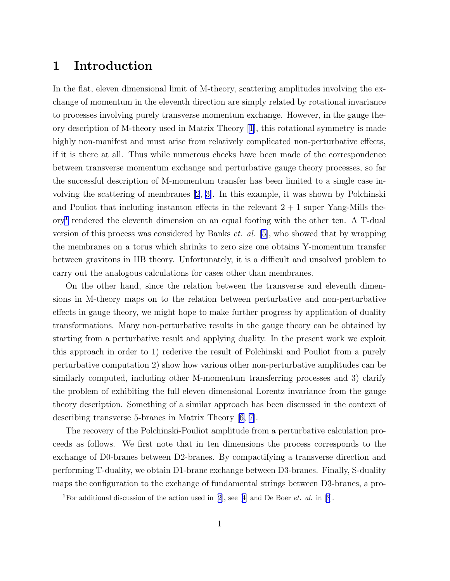## 1 Introduction

In the flat, eleven dimensional limit of M-theory, scattering amplitudes involving the exchange of momentum in the eleventh direction are simply related by rotational invariance to processes involving purely transverse momentum exchange. However, in the gauge theory description of M-theory used in Matrix Theory [\[1](#page-13-0)], this rotational symmetry is made highly non-manifest and must arise from relatively complicated non-perturbative effects, if it is there at all. Thus while numerous checks have been made of the correspondence between transverse momentum exchange and perturbative gauge theory processes, so far the successful description of M-momentum transfer has been limited to a single case involving the scattering of membranes [\[2](#page-13-0), [3\]](#page-13-0). In this example, it was shown by Polchinski and Pouliot that including instanton effects in the relevant  $2 + 1$  super Yang-Mills theory<sup>1</sup> rendered the eleventh dimension on an equal footing with the other ten. A T-dual version of this process was considered by Banks et. al. [\[5](#page-13-0)], who showed that by wrapping the membranes on a torus which shrinks to zero size one obtains Y-momentum transfer between gravitons in IIB theory. Unfortunately, it is a difficult and unsolved problem to carry out the analogous calculations for cases other than membranes.

On the other hand, since the relation between the transverse and eleventh dimensions in M-theory maps on to the relation between perturbative and non-perturbative effects in gauge theory, we might hope to make further progress by application of duality transformations. Many non-perturbative results in the gauge theory can be obtained by starting from a perturbative result and applying duality. In the present work we exploit this approach in order to 1) rederive the result of Polchinski and Pouliot from a purely perturbative computation 2) show how various other non-perturbative amplitudes can be similarly computed, including other M-momentum transferring processes and 3) clarify the problem of exhibiting the full eleven dimensional Lorentz invariance from the gauge theory description. Something of a similar approach has been discussed in the context of describing transverse 5-branes in Matrix Theory[[6,](#page-13-0) [7\]](#page-14-0).

The recovery of the Polchinski-Pouliot amplitude from a perturbative calculation proceeds as follows. We first note that in ten dimensions the process corresponds to the exchange of D0-branes between D2-branes. By compactifying a transverse direction and performing T-duality, we obtain D1-brane exchange between D3-branes. Finally, S-duality maps the configuration to the exchange of fundamental strings between D3-branes, a pro-

<sup>&</sup>lt;sup>1</sup>Foradditional discussion of the action used in [[2\]](#page-13-0), see [[4\]](#page-13-0) and De Boer *et. al.* in [\[3](#page-13-0)].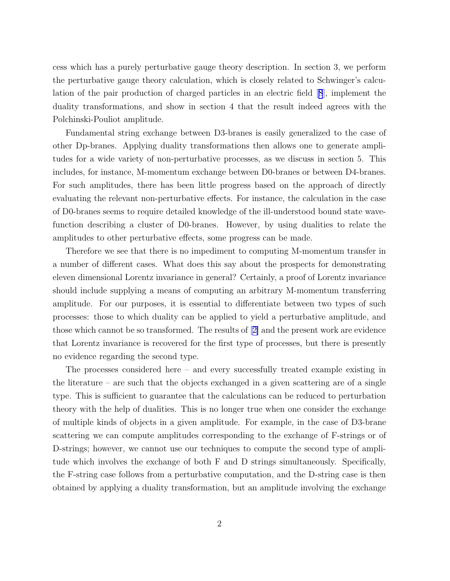cess which has a purely perturbative gauge theory description. In section 3, we perform the perturbative gauge theory calculation, which is closely related to Schwinger's calculation of the pair production of charged particles in an electric field[[8](#page-14-0)], implement the duality transformations, and show in section 4 that the result indeed agrees with the Polchinski-Pouliot amplitude.

Fundamental string exchange between D3-branes is easily generalized to the case of other Dp-branes. Applying duality transformations then allows one to generate amplitudes for a wide variety of non-perturbative processes, as we discuss in section 5. This includes, for instance, M-momentum exchange between D0-branes or between D4-branes. For such amplitudes, there has been little progress based on the approach of directly evaluating the relevant non-perturbative effects. For instance, the calculation in the case of D0-branes seems to require detailed knowledge of the ill-understood bound state wavefunction describing a cluster of D0-branes. However, by using dualities to relate the amplitudes to other perturbative effects, some progress can be made.

Therefore we see that there is no impediment to computing M-momentum transfer in a number of different cases. What does this say about the prospects for demonstrating eleven dimensional Lorentz invariance in general? Certainly, a proof of Lorentz invariance should include supplying a means of computing an arbitrary M-momentum transferring amplitude. For our purposes, it is essential to differentiate between two types of such processes: those to which duality can be applied to yield a perturbative amplitude, and those which cannot be so transformed. The results of[[2\]](#page-13-0) and the present work are evidence that Lorentz invariance is recovered for the first type of processes, but there is presently no evidence regarding the second type.

The processes considered here – and every successfully treated example existing in the literature – are such that the objects exchanged in a given scattering are of a single type. This is sufficient to guarantee that the calculations can be reduced to perturbation theory with the help of dualities. This is no longer true when one consider the exchange of multiple kinds of objects in a given amplitude. For example, in the case of D3-brane scattering we can compute amplitudes corresponding to the exchange of F-strings or of D-strings; however, we cannot use our techniques to compute the second type of amplitude which involves the exchange of both F and D strings simultaneously. Specifically, the F-string case follows from a perturbative computation, and the D-string case is then obtained by applying a duality transformation, but an amplitude involving the exchange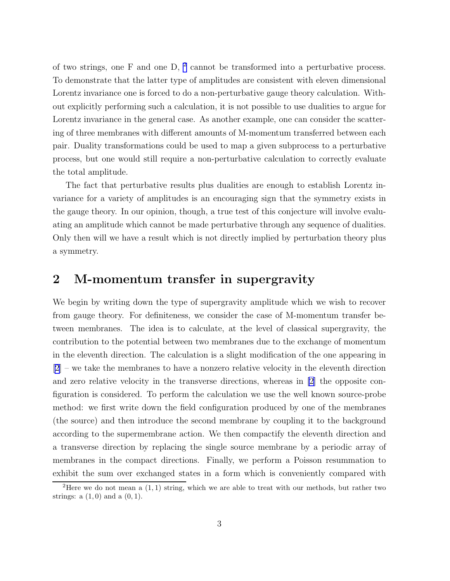of two strings, one  $F$  and one  $D$ ,  $\alpha$  cannot be transformed into a perturbative process. To demonstrate that the latter type of amplitudes are consistent with eleven dimensional Lorentz invariance one is forced to do a non-perturbative gauge theory calculation. Without explicitly performing such a calculation, it is not possible to use dualities to argue for Lorentz invariance in the general case. As another example, one can consider the scattering of three membranes with different amounts of M-momentum transferred between each pair. Duality transformations could be used to map a given subprocess to a perturbative process, but one would still require a non-perturbative calculation to correctly evaluate the total amplitude.

The fact that perturbative results plus dualities are enough to establish Lorentz invariance for a variety of amplitudes is an encouraging sign that the symmetry exists in the gauge theory. In our opinion, though, a true test of this conjecture will involve evaluating an amplitude which cannot be made perturbative through any sequence of dualities. Only then will we have a result which is not directly implied by perturbation theory plus a symmetry.

## 2 M-momentum transfer in supergravity

We begin by writing down the type of supergravity amplitude which we wish to recover from gauge theory. For definiteness, we consider the case of M-momentum transfer between membranes. The idea is to calculate, at the level of classical supergravity, the contribution to the potential between two membranes due to the exchange of momentum in the eleventh direction. The calculation is a slight modification of the one appearing in [[2\]](#page-13-0) – we take the membranes to have a nonzero relative velocity in the eleventh direction and zero relative velocity in the transverse directions, whereas in [\[2](#page-13-0)] the opposite configuration is considered. To perform the calculation we use the well known source-probe method: we first write down the field configuration produced by one of the membranes (the source) and then introduce the second membrane by coupling it to the background according to the supermembrane action. We then compactify the eleventh direction and a transverse direction by replacing the single source membrane by a periodic array of membranes in the compact directions. Finally, we perform a Poisson resummation to exhibit the sum over exchanged states in a form which is conveniently compared with

<sup>&</sup>lt;sup>2</sup>Here we do not mean a  $(1, 1)$  string, which we are able to treat with our methods, but rather two strings: a  $(1,0)$  and a  $(0,1)$ .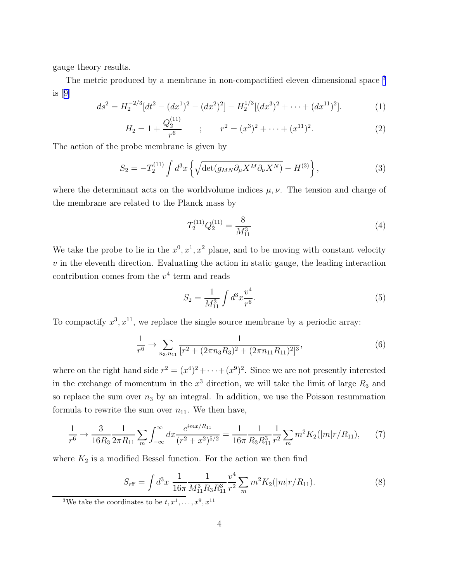gauge theory results.

The metric produced by a membrane in non-compactified eleven dimensional space <sup>3</sup> is[[9\]](#page-14-0)

$$
ds^{2} = H_{2}^{-2/3}[dt^{2} - (dx^{1})^{2} - (dx^{2})^{2}] - H_{2}^{1/3}[(dx^{3})^{2} + \dots + (dx^{11})^{2}].
$$
 (1)

$$
H_2 = 1 + \frac{Q_2^{(11)}}{r^6} \qquad ; \qquad r^2 = (x^3)^2 + \dots + (x^{11})^2. \tag{2}
$$

The action of the probe membrane is given by

$$
S_2 = -T_2^{(11)} \int d^3x \left\{ \sqrt{\det(g_{MN}\partial_\mu X^M \partial_\nu X^N)} - H^{(3)} \right\},\tag{3}
$$

where the determinant acts on the worldvolume indices  $\mu$ ,  $\nu$ . The tension and charge of the membrane are related to the Planck mass by

$$
T_2^{(11)}Q_2^{(11)} = \frac{8}{M_{11}^3} \tag{4}
$$

We take the probe to lie in the  $x^0, x^1, x^2$  plane, and to be moving with constant velocity  $v$  in the eleventh direction. Evaluating the action in static gauge, the leading interaction contribution comes from the  $v^4$  term and reads

$$
S_2 = \frac{1}{M_{11}^3} \int d^3x \frac{v^4}{r^6}.
$$
 (5)

To compactify  $x^3, x^{11}$ , we replace the single source membrane by a periodic array:

$$
\frac{1}{r^6} \to \sum_{n_3, n_{11}} \frac{1}{[r^2 + (2\pi n_3 R_3)^2 + (2\pi n_{11} R_{11})^2]^3},\tag{6}
$$

where on the right hand side  $r^2 = (x^4)^2 + \cdots + (x^9)^2$ . Since we are not presently interested in the exchange of momentum in the  $x^3$  direction, we will take the limit of large  $R_3$  and so replace the sum over  $n_3$  by an integral. In addition, we use the Poisson resummation formula to rewrite the sum over  $n_{11}$ . We then have,

$$
\frac{1}{r^6} \to \frac{3}{16R_3} \frac{1}{2\pi R_{11}} \sum_m \int_{-\infty}^{\infty} dx \frac{e^{imx/R_{11}}}{(r^2 + x^2)^{5/2}} = \frac{1}{16\pi} \frac{1}{R_3 R_{11}^3} \frac{1}{r^2} \sum_m m^2 K_2(|m|r/R_{11}),\tag{7}
$$

where  $K_2$  is a modified Bessel function. For the action we then find

$$
S_{\text{eff}} = \int d^3x \, \frac{1}{16\pi} \frac{1}{M_{11}^3 R_3 R_{11}^3} \frac{v^4}{r^2} \sum_m m^2 K_2(|m|r/R_{11}).\tag{8}
$$

<sup>3</sup>We take the coordinates to be  $t, x^1, \ldots, x^9, x^{11}$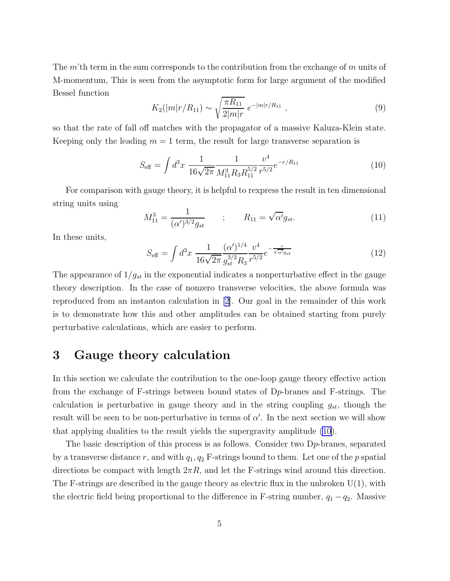<span id="page-5-0"></span>The  $m<sup>i</sup>$ th term in the sum corresponds to the contribution from the exchange of m units of M-momentum, This is seen from the asymptotic form for large argument of the modified Bessel function

$$
K_2(|m|r/R_{11}) \sim \sqrt{\frac{\pi R_{11}}{2|m|r}} \ e^{-|m|r/R_{11}} \ , \tag{9}
$$

so that the rate of fall off matches with the propagator of a massive Kaluza-Klein state. Keeping only the leading  $m = 1$  term, the result for large transverse separation is

$$
S_{\text{eff}} = \int d^3x \, \frac{1}{16\sqrt{2\pi}} \frac{1}{M_{11}^3 R_3 R_{11}^{5/2}} \frac{v^4}{r^{5/2}} e^{-r/R_{11}} \tag{10}
$$

For comparison with gauge theory, it is helpful to rexpress the result in ten dimensional string units using

$$
M_{11}^3 = \frac{1}{(\alpha')^{3/2} g_{st}} \qquad ; \qquad R_{11} = \sqrt{\alpha'} g_{st}.
$$
 (11)

In these units,

$$
S_{\text{eff}} = \int d^3x \; \frac{1}{16\sqrt{2\pi}} \frac{(\alpha')^{1/4}}{g_{st}^{3/2} R_3} \frac{v^4}{r^{5/2}} e^{-\frac{r}{\sqrt{\alpha'}g_{st}}} \tag{12}
$$

The appearance of  $1/g_{st}$  in the exponential indicates a nonperturbative effect in the gauge theory description. In the case of nonzero transverse velocities, the above formula was reproduced from an instanton calculation in [\[2\]](#page-13-0). Our goal in the remainder of this work is to demonstrate how this and other amplitudes can be obtained starting from purely perturbative calculations, which are easier to perform.

## 3 Gauge theory calculation

In this section we calculate the contribution to the one-loop gauge theory effective action from the exchange of F-strings between bound states of Dp-branes and F-strings. The calculation is perturbative in gauge theory and in the string coupling  $g_{st}$ , though the result will be seen to be non-perturbative in terms of  $\alpha'$ . In the next section we will show that applying dualities to the result yields the supergravity amplitude (10).

The basic description of this process is as follows. Consider two  $D_p$ -branes, separated by a transverse distance r, and with  $q_1, q_2$  F-strings bound to them. Let one of the p spatial directions be compact with length  $2\pi R$ , and let the F-strings wind around this direction. The F-strings are described in the gauge theory as electric flux in the unbroken  $U(1)$ , with the electric field being proportional to the difference in F-string number,  $q_1 - q_2$ . Massive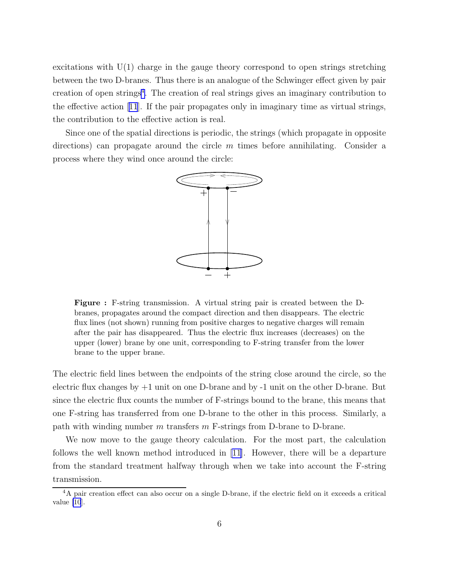excitations with  $U(1)$  charge in the gauge theory correspond to open strings stretching between the two D-branes. Thus there is an analogue of the Schwinger effect given by pair creation of open strings<sup>4</sup>. The creation of real strings gives an imaginary contribution to the effective action[[11](#page-14-0)]. If the pair propagates only in imaginary time as virtual strings, the contribution to the effective action is real.

Since one of the spatial directions is periodic, the strings (which propagate in opposite directions) can propagate around the circle  $m$  times before annihilating. Consider a process where they wind once around the circle:



Figure : F-string transmission. A virtual string pair is created between the Dbranes, propagates around the compact direction and then disappears. The electric flux lines (not shown) running from positive charges to negative charges will remain after the pair has disappeared. Thus the electric flux increases (decreases) on the upper (lower) brane by one unit, corresponding to F-string transfer from the lower brane to the upper brane.

The electric field lines between the endpoints of the string close around the circle, so the electric flux changes by +1 unit on one D-brane and by -1 unit on the other D-brane. But since the electric flux counts the number of F-strings bound to the brane, this means that one F-string has transferred from one D-brane to the other in this process. Similarly, a path with winding number m transfers  $m$  F-strings from D-brane to D-brane.

We now move to the gauge theory calculation. For the most part, the calculation follows the well known method introduced in [\[11\]](#page-14-0). However, there will be a departure from the standard treatment halfway through when we take into account the F-string transmission.

<sup>4</sup>A pair creation effect can also occur on a single D-brane, if the electric field on it exceeds a critical value [\[10](#page-14-0)].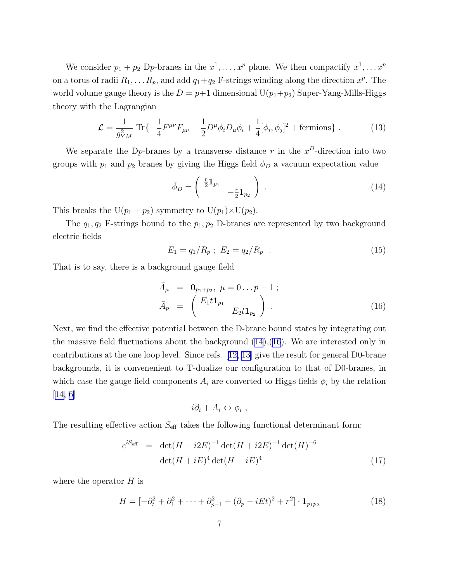We consider  $p_1 + p_2$  Dp-branes in the  $x^1, \ldots, x^p$  plane. We then compactify  $x^1, \ldots, x^p$ on a torus of radii  $R_1, \ldots R_p$ , and add  $q_1 + q_2$  F-strings winding along the direction  $x^p$ . The world volume gauge theory is the  $D = p+1$  dimensional  $U(p_1+p_2)$  Super-Yang-Mills-Higgs theory with the Lagrangian

$$
\mathcal{L} = \frac{1}{g_{YM}^2} \text{ Tr} \left\{ -\frac{1}{4} F^{\mu\nu} F_{\mu\nu} + \frac{1}{2} D^{\mu} \phi_i D_{\mu} \phi_i + \frac{1}{4} [\phi_i, \phi_j]^2 + \text{fermions} \right\} \,. \tag{13}
$$

We separate the D<sub>p</sub>-branes by a transverse distance r in the  $x^D$ -direction into two groups with  $p_1$  and  $p_2$  branes by giving the Higgs field  $\phi_D$  a vacuum expectation value

$$
\bar{\phi}_D = \begin{pmatrix} \frac{r}{2} \mathbf{1}_{p_1} & -\frac{r}{2} \mathbf{1}_{p_2} \end{pmatrix} . \tag{14}
$$

This breaks the U( $p_1 + p_2$ ) symmetry to U( $p_1$ )×U( $p_2$ ).

The  $q_1, q_2$  F-strings bound to the  $p_1, p_2$  D-branes are represented by two background electric fields

$$
E_1 = q_1/R_p \; ; \; E_2 = q_2/R_p \; . \tag{15}
$$

That is to say, there is a background gauge field

$$
\bar{A}_{\mu} = \mathbf{0}_{p_1+p_2}, \ \mu = 0 \dots p-1 ;
$$
\n
$$
\bar{A}_p = \begin{pmatrix} E_1 t \mathbf{1}_{p_1} \\ E_2 t \mathbf{1}_{p_2} \end{pmatrix} .
$$
\n(16)

Next, we find the effective potential between the D-brane bound states by integrating out the massive field fluctuations about the background  $(14)$ , $(16)$ . We are interested only in contributions at the one loop level. Since refs.[[12, 13\]](#page-14-0) give the result for general D0-brane backgrounds, it is convenenient to T-dualize our configuration to that of D0-branes, in which case the gauge field components  $A_i$  are converted to Higgs fields  $\phi_i$  by the relation [\[14,](#page-14-0) [6\]](#page-13-0)

$$
i\partial_i + A_i \leftrightarrow \phi_i ,
$$

The resulting effective action  $S_{\text{eff}}$  takes the following functional determinant form:

$$
e^{iS_{\text{eff}}} = \det(H - i2E)^{-1} \det(H + i2E)^{-1} \det(H)^{-6}
$$
  

$$
\det(H + iE)^{4} \det(H - iE)^{4}
$$
 (17)

where the operator  $H$  is

$$
H = [-\partial_t^2 + \partial_1^2 + \dots + \partial_{p-1}^2 + (\partial_p - iEt)^2 + r^2] \cdot \mathbf{1}_{p_1p_2}
$$
(18)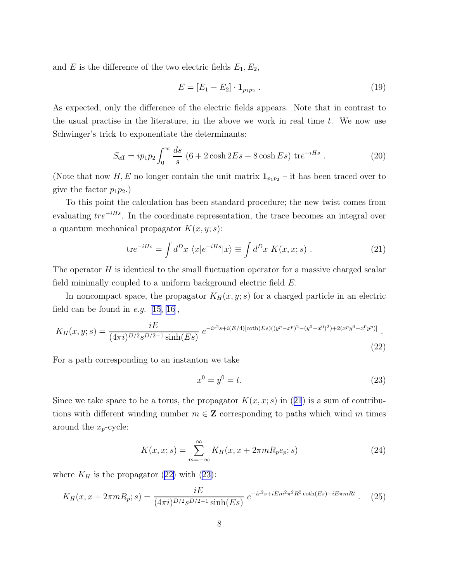and E is the difference of the two electric fields  $E_1, E_2$ ,

$$
E = [E_1 - E_2] \cdot \mathbf{1}_{p_1 p_2} \tag{19}
$$

As expected, only the difference of the electric fields appears. Note that in contrast to the usual practise in the literature, in the above we work in real time  $t$ . We now use Schwinger's trick to exponentiate the determinants:

$$
S_{\text{eff}} = ip_1 p_2 \int_0^\infty \frac{ds}{s} (6 + 2 \cosh 2Es - 8 \cosh Es) \text{ tr} e^{-iHs} . \tag{20}
$$

(Note that now  $H, E$  no longer contain the unit matrix  $\mathbf{1}_{p_1p_2}$  – it has been traced over to give the factor  $p_1p_2$ .)

To this point the calculation has been standard procedure; the new twist comes from evaluating  $tre^{-iHs}$ . In the coordinate representation, the trace becomes an integral over a quantum mechanical propagator  $K(x, y; s)$ :

$$
\text{tr}e^{-iHs} = \int d^D x \langle x|e^{-iHs}|x\rangle \equiv \int d^D x \; K(x, x; s) \; . \tag{21}
$$

The operator  $H$  is identical to the small fluctuation operator for a massive charged scalar field minimally coupled to a uniform background electric field E.

In noncompact space, the propagator  $K_H(x, y; s)$  for a charged particle in an electric field can be found in *e.g.* [\[15](#page-14-0), [16\]](#page-14-0),

$$
K_H(x, y; s) = \frac{iE}{(4\pi i)^{D/2} s^{D/2 - 1} \sinh(Es)} e^{-ir^2 s + i(E/4)[\coth(Es)((y^p - x^p)^2 - (y^0 - x^0)^2) + 2(x^p y^0 - x^0 y^p)]}.
$$
\n(22)

For a path corresponding to an instanton we take

$$
x^0 = y^0 = t.
$$
 (23)

Since we take space to be a torus, the propagator  $K(x, x; s)$  in (21) is a sum of contributions with different winding number  $m \in \mathbb{Z}$  corresponding to paths which wind m times around the  $x_p$ -cycle:

$$
K(x, x; s) = \sum_{m = -\infty}^{\infty} K_H(x, x + 2\pi m R_p e_p; s)
$$
\n(24)

where  $K_H$  is the propagator (22) with (23):

$$
K_H(x, x + 2\pi m R_p; s) = \frac{iE}{(4\pi i)^{D/2} s^{D/2 - 1} \sinh(Es)} e^{-ir^2 s + iE m^2 \pi^2 R^2 \coth(Es) - iE \pi m R t} \ . \tag{25}
$$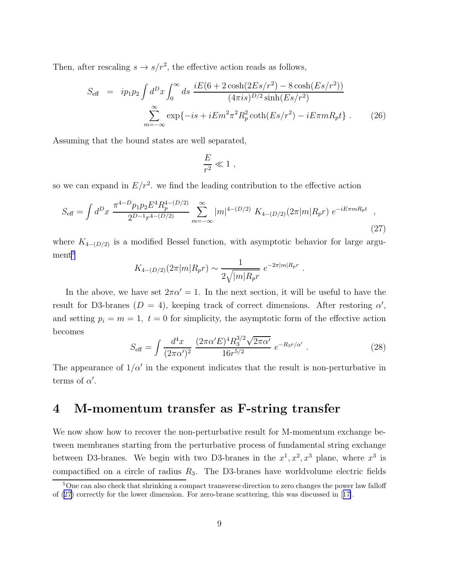<span id="page-9-0"></span>Then, after rescaling  $s \to s/r^2$ , the effective action reads as follows,

$$
S_{\text{eff}} = ip_1 p_2 \int d^D x \int_0^\infty ds \frac{iE(6 + 2\cosh(2Es/r^2) - 8\cosh(Es/r^2))}{(4\pi i s)^{D/2} \sinh(Es/r^2)}
$$

$$
\sum_{m=-\infty}^\infty \exp\{-is + iEm^2 \pi^2 R_p^2 \coth(Es/r^2) - iE\pi m R_p t\}.
$$
 (26)

Assuming that the bound states are well separated,

$$
\frac{E}{r^2} \ll 1 \ ,
$$

so we can expand in  $E/r^2$ , we find the leading contribution to the effective action

$$
S_{\text{eff}} = \int d^D x \, \frac{\pi^{4-D} p_1 p_2 E^4 R_p^{4-(D/2)}}{2^{D-1} r^{4-(D/2)}} \sum_{m=-\infty}^{\infty} |m|^{4-(D/2)} K_{4-(D/2)}(2\pi |m| R_p r) e^{-iE\pi m R_p t} \quad , \tag{27}
$$

where  $K_{4-(D/2)}$  is a modified Bessel function, with asymptotic behavior for large argument<sup>5</sup>

$$
K_{4-(D/2)}(2\pi|m|R_p r) \sim \frac{1}{2\sqrt{|m|R_p r}} e^{-2\pi |m|R_p r}
$$
.

In the above, we have set  $2\pi\alpha' = 1$ . In the next section, it will be useful to have the result for D3-branes  $(D = 4)$ , keeping track of correct dimensions. After restoring  $\alpha'$ , and setting  $p_i = m = 1, t = 0$  for simplicity, the asymptotic form of the effective action becomes

$$
S_{\text{eff}} = \int \frac{d^4x}{(2\pi\alpha')^2} \frac{(2\pi\alpha' E)^4 R_3^{3/2} \sqrt{2\pi\alpha'}}{16r^{5/2}} e^{-R_3 r/\alpha'} . \tag{28}
$$

The appearance of  $1/\alpha'$  in the exponent indicates that the result is non-perturbative in terms of  $\alpha'$ .

# 4 M-momentum transfer as F-string transfer

We now show how to recover the non-perturbative result for M-momentum exchange between membranes starting from the perturbative process of fundamental string exchange between D3-branes. We begin with two D3-branes in the  $x^1, x^2, x^3$  plane, where  $x^3$  is compactified on a circle of radius  $R_3$ . The D3-branes have worldvolume electric fields

<sup>5</sup>One can also check that shrinking a compact transverse direction to zero changes the power law falloff of (27) correctly for the lower dimension. For zero-brane scattering, this was discussed in[[17\]](#page-14-0).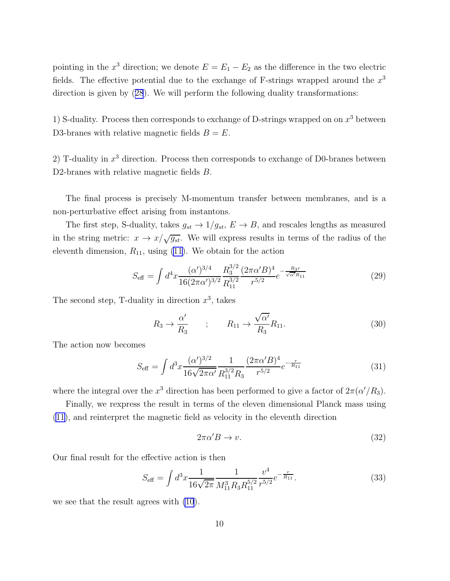pointing in the  $x^3$  direction; we denote  $E = E_1 - E_2$  as the difference in the two electric fields. The effective potential due to the exchange of F-strings wrapped around the  $x^3$ direction is given by([28](#page-9-0)). We will perform the following duality transformations:

1) S-duality. Process then corresponds to exchange of D-strings wrapped on on  $x^3$  between D3-branes with relative magnetic fields  $B = E$ .

2) T-duality in  $x^3$  direction. Process then corresponds to exchange of D0-branes between D2-branes with relative magnetic fields  $B$ .

The final process is precisely M-momentum transfer between membranes, and is a non-perturbative effect arising from instantons.

The first step, S-duality, takes  $g_{st} \to 1/g_{st}$ ,  $E \to B$ , and rescales lengths as measured in the string metric:  $x \to x/\sqrt{g_{st}}$ . We will express results in terms of the radius of the eleventh dimension,  $R_{11}$ , using [\(11](#page-5-0)). We obtain for the action

$$
S_{\text{eff}} = \int d^4x \frac{(\alpha')^{3/4}}{16(2\pi\alpha')^{3/2}} \frac{R_3^{3/2}}{R_{11}^{3/2}} \frac{(2\pi\alpha'B)^4}{r^{5/2}} e^{-\frac{R_3r}{\sqrt{\alpha'}R_{11}}} \tag{29}
$$

The second step, T-duality in direction  $x^3$ , takes

$$
R_3 \to \frac{\alpha'}{R_3} \qquad ; \qquad R_{11} \to \frac{\sqrt{\alpha'}}{R_3} R_{11}.\tag{30}
$$

The action now becomes

$$
S_{\text{eff}} = \int d^3x \frac{(\alpha')^{3/2}}{16\sqrt{2\pi\alpha'}} \frac{1}{R_{11}^{3/2}R_3} \frac{(2\pi\alpha'B)^4}{r^{5/2}} e^{-\frac{r}{R_{11}}} \tag{31}
$$

where the integral over the  $x^3$  direction has been performed to give a factor of  $2\pi(\alpha'/R_3)$ .

Finally, we rexpress the result in terms of the eleven dimensional Planck mass using [\(11](#page-5-0)), and reinterpret the magnetic field as velocity in the eleventh direction

$$
2\pi\alpha'B \to v.\tag{32}
$$

Our final result for the effective action is then

$$
S_{\text{eff}} = \int d^3x \frac{1}{16\sqrt{2\pi}} \frac{1}{M_{11}^3 R_3 R_{11}^{5/2}} \frac{v^4}{r^{5/2}} e^{-\frac{r}{R_{11}}}.
$$
 (33)

we see that the result agrees with [\(10](#page-5-0)).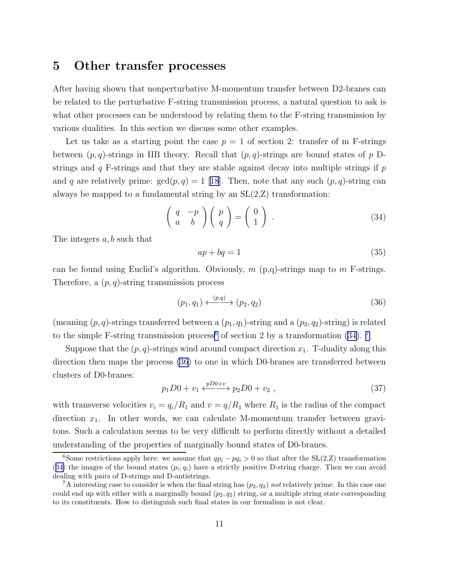#### <span id="page-11-0"></span>5 Other transfer processes

After having shown that nonperturbative M-momentum transfer between D2-branes can be related to the perturbative F-string transmission process, a natural question to ask is what other processes can be understood by relating them to the F-string transmission by various dualities. In this section we discuss some other examples.

Let us take as a starting point the case  $p = 1$  of section 2: transfer of m F-strings between  $(p, q)$ -strings in IIB theory. Recall that  $(p, q)$ -strings are bound states of p Dstrings and  $q$  F-strings and that they are stable against decay into multiple strings if  $p$ and q are relatively prime:  $gcd(p, q) = 1$  [\[18\]](#page-14-0). Then, note that any such  $(p, q)$ -string can always be mapped to a fundamental string by an  $SL(2,\mathbb{Z})$  transformation:

$$
\left(\begin{array}{cc} q & -p \\ a & b \end{array}\right)\left(\begin{array}{c} p \\ q \end{array}\right) = \left(\begin{array}{c} 0 \\ 1 \end{array}\right) . \tag{34}
$$

The integers  $a, b$  such that

$$
ap + bq = 1 \tag{35}
$$

can be found using Euclid's algorithm. Obviously,  $m(p,q)$ -strings map to  $m$  F-strings. Therefore, a  $(p, q)$ -string transmission process

$$
(p_1, q_1) \xleftarrow{(p,q)} (p_2, q_2) \tag{36}
$$

(meaning  $(p, q)$ -strings transferred between a  $(p_1, q_1)$ -string and a  $(p_2, q_2)$ -string) is related to the simple F-string transmission process<sup>6</sup> of section 2 by a transformation  $(34)$ . <sup>7</sup>

Suppose that the  $(p, q)$ -strings wind around compact direction  $x_1$ . T-duality along this direction then maps the process (36) to one in which D0-branes are transferred between clusters of D0-branes:

$$
p_1 D0 + v_1 \xleftarrow{pD_0 + v_2} p_2 D0 + v_2 , \qquad (37)
$$

with transverse velocities  $v_i = q_i/R_1$  and  $v = q/R_1$  where  $R_1$  is the radius of the compact direction  $x_1$ . In other words, we can calculate M-momentum transfer between gravitons. Such a calculation seems to be very difficult to perform directly without a detailed understanding of the properties of marginally bound states of D0-branes.

<sup>&</sup>lt;sup>6</sup>Some restrictions apply here: we assume that  $qp_i - pq_i > 0$  so that after the SL(2,Z) transformation  $(34)$  the images of the bound states  $(p_i, q_i)$  have a strictly positive D-string charge. Then we can avoid dealing with pairs of D-strings and D-antistrings.

<sup>&</sup>lt;sup>7</sup>A interesting case to consider is when the final string has  $(p_2, q_2)$  not relatively prime. In this case one could end up with either with a marginally bound  $(p_2, q_2)$  string, or a multiple string state corresponding to its constituents. How to distinguish such final states in our formalism is not clear.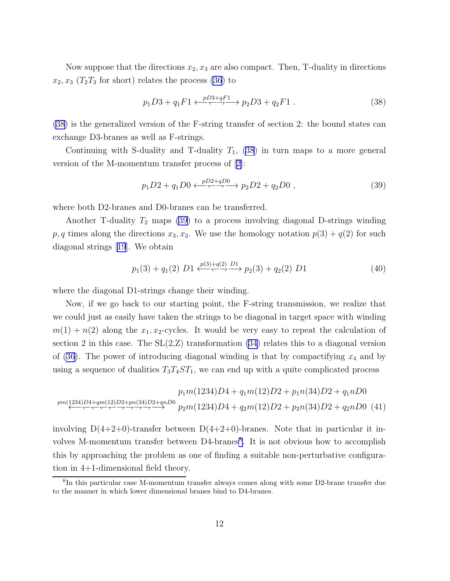<span id="page-12-0"></span>Now suppose that the directions  $x_2, x_3$  are also compact. Then, T-duality in directions  $x_2, x_3$  ( $T_2T_3$  for short) relates the process [\(36](#page-11-0)) to

$$
p_1D3 + q_1F1 \xleftarrow{pD3 + qF1} p_2D3 + q_2F1 . \tag{38}
$$

(38) is the generalized version of the F-string transfer of section 2: the bound states can exchange D3-branes as well as F-strings.

Continuing with S-duality and T-duality  $T_1$ , (38) in turn maps to a more general version of the M-momentum transfer process of[[2\]](#page-13-0):

$$
p_1D2 + q_1D0 \xleftarrow{pD2 + qD0} p_2D2 + q_2D0 , \qquad (39)
$$

where both D2-branes and D0-branes can be transferred.

Another T-duality  $T_2$  maps (39) to a process involving diagonal D-strings winding  $p, q$  times along the directions  $x_3, x_2$ . We use the homology notation  $p(3) + q(2)$  for such diagonal strings[[19](#page-15-0)]. We obtain

$$
p_1(3) + q_1(2) D1 \xleftarrow{p(3) + q(2)} D1 \xrightarrow{D1} p_2(3) + q_2(2) D1 \tag{40}
$$

where the diagonal D1-strings change their winding.

Now, if we go back to our starting point, the F-string transmission, we realize that we could just as easily have taken the strings to be diagonal in target space with winding  $m(1) + n(2)$  along the  $x_1, x_2$ -cycles. It would be very easy to repeat the calculation of section 2 in this case. The  $SL(2,Z)$  transformation  $(34)$  relates this to a diagonal version of  $(36)$ . The power of introducing diagonal winding is that by compactifying  $x_4$  and by using a sequence of dualities  $T_3T_4ST_1$ , we can end up with a quite complicated process

$$
p_1 m(1234)D4 + q_1 m(12)D2 + p_1 n(34)D2 + q_1 nD0
$$
  
\n
$$
p_2 m(1234)D4 + q_2 m(12)D2 + p_2 n(34)D2 + q_2 nD0
$$
  
\n
$$
p_2 m(1234)D4 + q_2 m(12)D2 + p_2 n(34)D2 + q_2 nD0
$$
 (41)

involving  $D(4+2+0)$ -transfer between  $D(4+2+0)$ -branes. Note that in particular it involves M-momentum transfer between D4-branes<sup>8</sup>. It is not obvious how to accomplish this by approaching the problem as one of finding a suitable non-perturbative configuration in 4+1-dimensional field theory.

<sup>&</sup>lt;sup>8</sup>In this particular case M-momentum transfer always comes along with some D2-brane transfer due to the manner in which lower dimensional branes bind to D4-branes.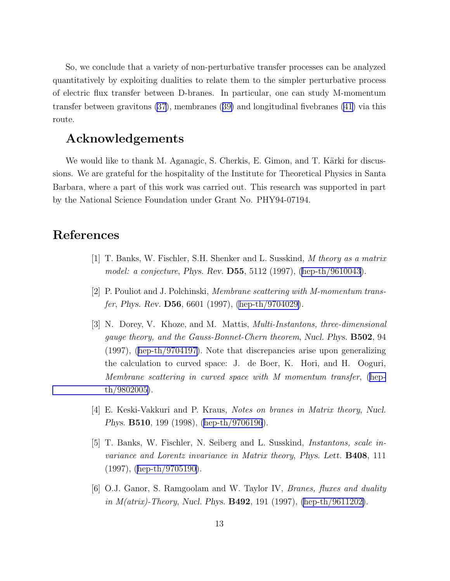<span id="page-13-0"></span>So, we conclude that a variety of non-perturbative transfer processes can be analyzed quantitatively by exploiting dualities to relate them to the simpler perturbative process of electric flux transfer between D-branes. In particular, one can study M-momentum transfer between gravitons [\(37\)](#page-11-0), membranes([39\)](#page-12-0) and longitudinal fivebranes [\(41\)](#page-12-0) via this route.

## Acknowledgements

We would like to thank M. Aganagic, S. Cherkis, E. Gimon, and T. Kärki for discussions. We are grateful for the hospitality of the Institute for Theoretical Physics in Santa Barbara, where a part of this work was carried out. This research was supported in part by the National Science Foundation under Grant No. PHY94-07194.

## References

- [1] T. Banks, W. Fischler, S.H. Shenker and L. Susskind, M theory as a matrix model: a conjecture, Phys. Rev. D55, 5112 (1997),([hep-th/9610043](http://arxiv.org/abs/hep-th/9610043)).
- [2] P. Pouliot and J. Polchinski, Membrane scattering with M-momentum trans*fer*, Phys. Rev. **D56**, 6601 (1997), [\(hep-th/9704029\)](http://arxiv.org/abs/hep-th/9704029).
- [3] N. Dorey, V. Khoze, and M. Mattis, Multi-Instantons, three-dimensional gauge theory, and the Gauss-Bonnet-Chern theorem, Nucl. Phys. B502, 94 (1997),([hep-th/9704197\)](http://arxiv.org/abs/hep-th/9704197). Note that discrepancies arise upon generalizing the calculation to curved space: J. de Boer, K. Hori, and H. Ooguri, Membrane scattering in curved space with M momentum transfer, [\(hep](http://arxiv.org/abs/hep-th/9802005)[th/9802005\)](http://arxiv.org/abs/hep-th/9802005).
- [4] E. Keski-Vakkuri and P. Kraus, Notes on branes in Matrix theory, Nucl. Phys. B510, 199 (1998), [\(hep-th/9706196](http://arxiv.org/abs/hep-th/9706196)).
- [5] T. Banks, W. Fischler, N. Seiberg and L. Susskind, Instantons, scale invariance and Lorentz invariance in Matrix theory, Phys. Lett. B408, 111 (1997),([hep-th/9705190](http://arxiv.org/abs/hep-th/9705190)).
- [6] O.J. Ganor, S. Ramgoolam and W. Taylor IV, Branes, fluxes and duality in  $M(atrix)$ -Theory, Nucl. Phys. **B492**, 191 (1997), [\(hep-th/9611202\)](http://arxiv.org/abs/hep-th/9611202).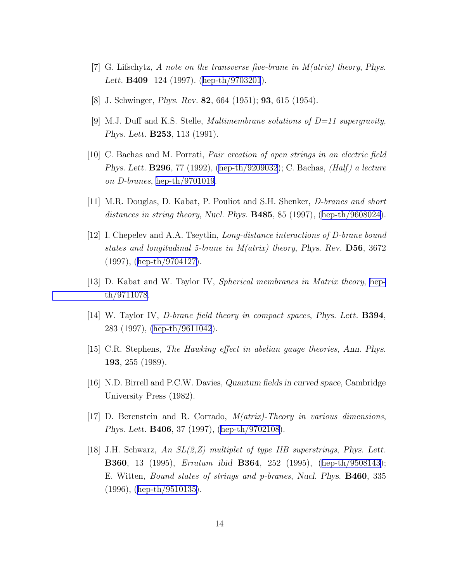- <span id="page-14-0"></span>[7] G. Lifschytz, A note on the transverse five-brane in  $M(a\text{tr}x)$  theory, Phys. Lett. **B409** 124 (1997). [\(hep-th/9703201](http://arxiv.org/abs/hep-th/9703201)).
- [8] J. Schwinger, Phys. Rev. 82, 664 (1951); 93, 615 (1954).
- [9] M.J. Duff and K.S. Stelle, *Multimembrane solutions of D=11 supergravity*, Phys. Lett. B253, 113 (1991).
- [10] C. Bachas and M. Porrati, Pair creation of open strings in an electric field Phys.Lett. **B296**, 77 (1992), ([hep-th/9209032\)](http://arxiv.org/abs/hep-th/9209032); C. Bachas, *(Half)* a lecture on D-branes, [hep-th/9701019](http://arxiv.org/abs/hep-th/9701019).
- [11] M.R. Douglas, D. Kabat, P. Pouliot and S.H. Shenker, D-branes and short distancesin string theory, Nucl. Phys.  $\mathbf{B485}$ , 85 (1997), ([hep-th/9608024\)](http://arxiv.org/abs/hep-th/9608024).
- [12] I. Chepelev and A.A. Tseytlin, Long-distance interactions of D-brane bound states and longitudinal 5-brane in  $M(a\text{tr}x)$  theory, Phys. Rev. **D56**, 3672 (1997),([hep-th/9704127\)](http://arxiv.org/abs/hep-th/9704127).
- [13] D. Kabat and W. Taylor IV, Spherical membranes in Matrix theory, [hep](http://arxiv.org/abs/hep-th/9711078)[th/9711078.](http://arxiv.org/abs/hep-th/9711078)
- [14] W. Taylor IV, *D-brane field theory in compact spaces*, *Phys. Lett.* **B394**, 283 (1997), [\(hep-th/9611042](http://arxiv.org/abs/hep-th/9611042)).
- [15] C.R. Stephens, The Hawking effect in abelian gauge theories, Ann. Phys. 193, 255 (1989).
- [16] N.D. Birrell and P.C.W. Davies, Quantum fields in curved space, Cambridge University Press (1982).
- [17] D. Berenstein and R. Corrado, M(atrix)-Theory in various dimensions, Phys. Lett. B406, 37 (1997), [\(hep-th/9702108](http://arxiv.org/abs/hep-th/9702108)).
- [18] J.H. Schwarz, An  $SL(2,Z)$  multiplet of type IIB superstrings, Phys. Lett. B360, 13 (1995), Erratum ibid B364, 252 (1995),([hep-th/9508143\)](http://arxiv.org/abs/hep-th/9508143); E. Witten, Bound states of strings and p-branes, Nucl. Phys. B460, 335 (1996),([hep-th/9510135\)](http://arxiv.org/abs/hep-th/9510135).